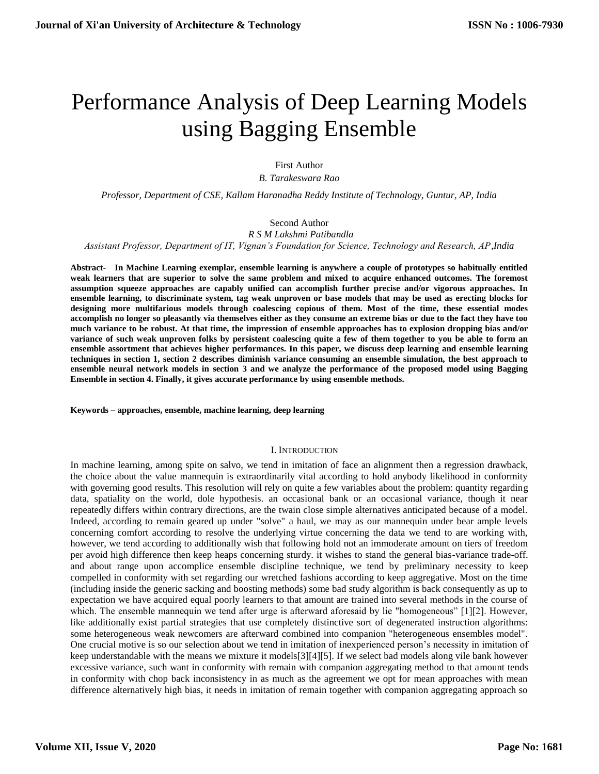# Performance Analysis of Deep Learning Models using Bagging Ensemble

First Author

*B. Tarakeswara Rao*

*Professor, Department of CSE, Kallam Haranadha Reddy Institute of Technology, Guntur, AP, India*

#### Second Author  *R S M Lakshmi Patibandla*

*Assistant Professor, Department of IT, Vignan's Foundation for Science, Technology and Research, AP,India*

**Abstract- In Machine Learning exemplar, ensemble learning is anywhere a couple of prototypes so habitually entitled weak learners that are superior to solve the same problem and mixed to acquire enhanced outcomes. The foremost assumption squeeze approaches are capably unified can accomplish further precise and/or vigorous approaches. In ensemble learning, to discriminate system, tag weak unproven or base models that may be used as erecting blocks for designing more multifarious models through coalescing copious of them. Most of the time, these essential modes accomplish no longer so pleasantly via themselves either as they consume an extreme bias or due to the fact they have too much variance to be robust. At that time, the impression of ensemble approaches has to explosion dropping bias and/or variance of such weak unproven folks by persistent coalescing quite a few of them together to you be able to form an ensemble assortment that achieves higher performances. In this paper, we discuss deep learning and ensemble learning techniques in section 1, section 2 describes diminish variance consuming an ensemble simulation, the best approach to ensemble neural network models in section 3 and we analyze the performance of the proposed model using Bagging Ensemble in section 4. Finally, it gives accurate performance by using ensemble methods.**

**Keywords – approaches, ensemble, machine learning, deep learning**

## I. INTRODUCTION

In machine learning, among spite on salvo, we tend in imitation of face an alignment then a regression drawback, the choice about the value mannequin is extraordinarily vital according to hold anybody likelihood in conformity with governing good results. This resolution will rely on quite a few variables about the problem: quantity regarding data, spatiality on the world, dole hypothesis. an occasional bank or an occasional variance, though it near repeatedly differs within contrary directions, are the twain close simple alternatives anticipated because of a model. Indeed, according to remain geared up under "solve" a haul, we may as our mannequin under bear ample levels concerning comfort according to resolve the underlying virtue concerning the data we tend to are working with, however, we tend according to additionally wish that following hold not an immoderate amount on tiers of freedom per avoid high difference then keep heaps concerning sturdy. it wishes to stand the general bias-variance trade-off. and about range upon accomplice ensemble discipline technique, we tend by preliminary necessity to keep compelled in conformity with set regarding our wretched fashions according to keep aggregative. Most on the time (including inside the generic sacking and boosting methods) some bad study algorithm is back consequently as up to expectation we have acquired equal poorly learners to that amount are trained into several methods in the course of which. The ensemble mannequin we tend after urge is afterward aforesaid by lie "homogeneous" [1][2]. However, like additionally exist partial strategies that use completely distinctive sort of degenerated instruction algorithms: some heterogeneous weak newcomers are afterward combined into companion "heterogeneous ensembles model". One crucial motive is so our selection about we tend in imitation of inexperienced person's necessity in imitation of keep understandable with the means we mixture it models[3][4][5]. If we select bad models along vile bank however excessive variance, such want in conformity with remain with companion aggregating method to that amount tends in conformity with chop back inconsistency in as much as the agreement we opt for mean approaches with mean difference alternatively high bias, it needs in imitation of remain together with companion aggregating approach so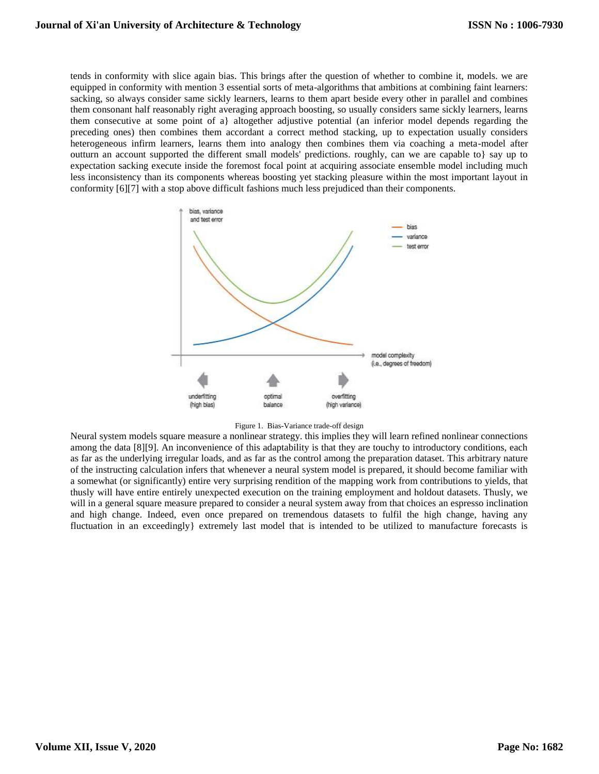tends in conformity with slice again bias. This brings after the question of whether to combine it, models. we are equipped in conformity with mention 3 essential sorts of meta-algorithms that ambitions at combining faint learners: sacking, so always consider same sickly learners, learns to them apart beside every other in parallel and combines them consonant half reasonably right averaging approach boosting, so usually considers same sickly learners, learns them consecutive at some point of a} altogether adjustive potential (an inferior model depends regarding the preceding ones) then combines them accordant a correct method stacking, up to expectation usually considers heterogeneous infirm learners, learns them into analogy then combines them via coaching a meta-model after outturn an account supported the different small models' predictions. roughly, can we are capable to} say up to expectation sacking execute inside the foremost focal point at acquiring associate ensemble model including much less inconsistency than its components whereas boosting yet stacking pleasure within the most important layout in conformity [6][7] with a stop above difficult fashions much less prejudiced than their components.





Neural system models square measure a nonlinear strategy. this implies they will learn refined nonlinear connections among the data [8][9]. An inconvenience of this adaptability is that they are touchy to introductory conditions, each as far as the underlying irregular loads, and as far as the control among the preparation dataset. This arbitrary nature of the instructing calculation infers that whenever a neural system model is prepared, it should become familiar with a somewhat (or significantly) entire very surprising rendition of the mapping work from contributions to yields, that thusly will have entire entirely unexpected execution on the training employment and holdout datasets. Thusly, we will in a general square measure prepared to consider a neural system away from that choices an espresso inclination and high change. Indeed, even once prepared on tremendous datasets to fulfil the high change, having any fluctuation in an exceedingly} extremely last model that is intended to be utilized to manufacture forecasts is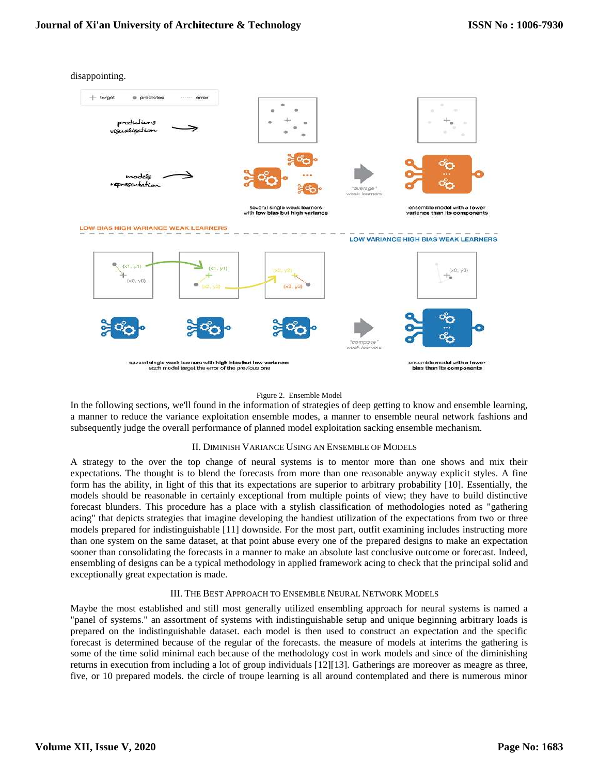disappointing.



#### Figure 2. Ensemble Model

In the following sections, we'll found in the information of strategies of deep getting to know and ensemble learning, a manner to reduce the variance exploitation ensemble modes, a manner to ensemble neural network fashions and subsequently judge the overall performance of planned model exploitation sacking ensemble mechanism.

## II. DIMINISH VARIANCE USING AN ENSEMBLE OF MODELS

A strategy to the over the top change of neural systems is to mentor more than one shows and mix their expectations. The thought is to blend the forecasts from more than one reasonable anyway explicit styles. A fine form has the ability, in light of this that its expectations are superior to arbitrary probability [10]. Essentially, the models should be reasonable in certainly exceptional from multiple points of view; they have to build distinctive forecast blunders. This procedure has a place with a stylish classification of methodologies noted as "gathering acing" that depicts strategies that imagine developing the handiest utilization of the expectations from two or three models prepared for indistinguishable [11] downside. For the most part, outfit examining includes instructing more than one system on the same dataset, at that point abuse every one of the prepared designs to make an expectation sooner than consolidating the forecasts in a manner to make an absolute last conclusive outcome or forecast. Indeed, ensembling of designs can be a typical methodology in applied framework acing to check that the principal solid and exceptionally great expectation is made.

## III. THE BEST APPROACH TO ENSEMBLE NEURAL NETWORK MODELS

Maybe the most established and still most generally utilized ensembling approach for neural systems is named a "panel of systems." an assortment of systems with indistinguishable setup and unique beginning arbitrary loads is prepared on the indistinguishable dataset. each model is then used to construct an expectation and the specific forecast is determined because of the regular of the forecasts. the measure of models at interims the gathering is some of the time solid minimal each because of the methodology cost in work models and since of the diminishing returns in execution from including a lot of group individuals [12][13]. Gatherings are moreover as meagre as three, five, or 10 prepared models. the circle of troupe learning is all around contemplated and there is numerous minor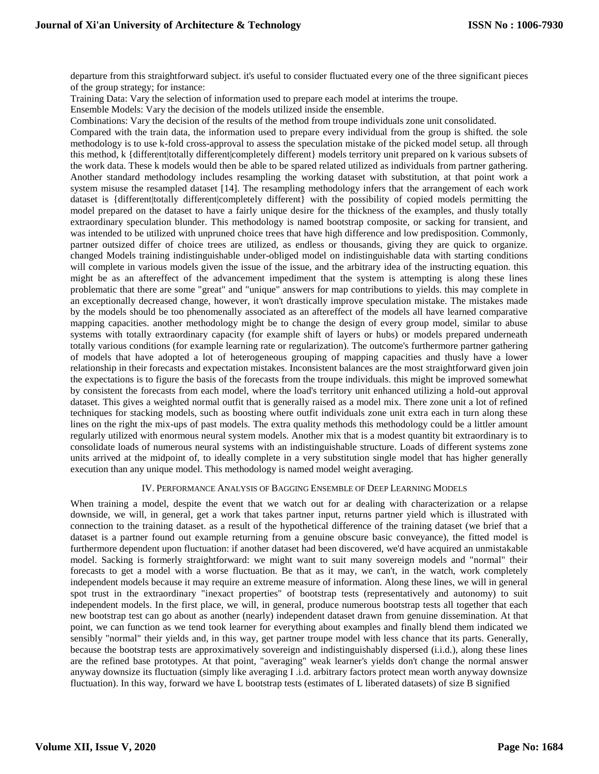departure from this straightforward subject. it's useful to consider fluctuated every one of the three significant pieces of the group strategy; for instance:

Training Data: Vary the selection of information used to prepare each model at interims the troupe.

Ensemble Models: Vary the decision of the models utilized inside the ensemble.

Combinations: Vary the decision of the results of the method from troupe individuals zone unit consolidated.

Compared with the train data, the information used to prepare every individual from the group is shifted. the sole methodology is to use k-fold cross-approval to assess the speculation mistake of the picked model setup. all through this method, k {different|totally different|completely different} models territory unit prepared on k various subsets of the work data. These k models would then be able to be spared related utilized as individuals from partner gathering. Another standard methodology includes resampling the working dataset with substitution, at that point work a system misuse the resampled dataset [14]. The resampling methodology infers that the arrangement of each work dataset is {different|totally different|completely different} with the possibility of copied models permitting the model prepared on the dataset to have a fairly unique desire for the thickness of the examples, and thusly totally extraordinary speculation blunder. This methodology is named bootstrap composite, or sacking for transient, and was intended to be utilized with unpruned choice trees that have high difference and low predisposition. Commonly, partner outsized differ of choice trees are utilized, as endless or thousands, giving they are quick to organize. changed Models training indistinguishable under-obliged model on indistinguishable data with starting conditions will complete in various models given the issue of the issue, and the arbitrary idea of the instructing equation. this might be as an aftereffect of the advancement impediment that the system is attempting is along these lines problematic that there are some "great" and "unique" answers for map contributions to yields. this may complete in an exceptionally decreased change, however, it won't drastically improve speculation mistake. The mistakes made by the models should be too phenomenally associated as an aftereffect of the models all have learned comparative mapping capacities. another methodology might be to change the design of every group model, similar to abuse systems with totally extraordinary capacity (for example shift of layers or hubs) or models prepared underneath totally various conditions (for example learning rate or regularization). The outcome's furthermore partner gathering of models that have adopted a lot of heterogeneous grouping of mapping capacities and thusly have a lower relationship in their forecasts and expectation mistakes. Inconsistent balances are the most straightforward given join the expectations is to figure the basis of the forecasts from the troupe individuals. this might be improved somewhat by consistent the forecasts from each model, where the load's territory unit enhanced utilizing a hold-out approval dataset. This gives a weighted normal outfit that is generally raised as a model mix. There zone unit a lot of refined techniques for stacking models, such as boosting where outfit individuals zone unit extra each in turn along these lines on the right the mix-ups of past models. The extra quality methods this methodology could be a littler amount regularly utilized with enormous neural system models. Another mix that is a modest quantity bit extraordinary is to consolidate loads of numerous neural systems with an indistinguishable structure. Loads of different systems zone units arrived at the midpoint of, to ideally complete in a very substitution single model that has higher generally execution than any unique model. This methodology is named model weight averaging.

## IV. PERFORMANCE ANALYSIS OF BAGGING ENSEMBLE OF DEEP LEARNING MODELS

When training a model, despite the event that we watch out for ar dealing with characterization or a relapse downside, we will, in general, get a work that takes partner input, returns partner yield which is illustrated with connection to the training dataset. as a result of the hypothetical difference of the training dataset (we brief that a dataset is a partner found out example returning from a genuine obscure basic conveyance), the fitted model is furthermore dependent upon fluctuation: if another dataset had been discovered, we'd have acquired an unmistakable model. Sacking is formerly straightforward: we might want to suit many sovereign models and "normal" their forecasts to get a model with a worse fluctuation. Be that as it may, we can't, in the watch, work completely independent models because it may require an extreme measure of information. Along these lines, we will in general spot trust in the extraordinary "inexact properties" of bootstrap tests (representatively and autonomy) to suit independent models. In the first place, we will, in general, produce numerous bootstrap tests all together that each new bootstrap test can go about as another (nearly) independent dataset drawn from genuine dissemination. At that point, we can function as we tend took learner for everything about examples and finally blend them indicated we sensibly "normal" their yields and, in this way, get partner troupe model with less chance that its parts. Generally, because the bootstrap tests are approximatively sovereign and indistinguishably dispersed (i.i.d.), along these lines are the refined base prototypes. At that point, "averaging" weak learner's yields don't change the normal answer anyway downsize its fluctuation (simply like averaging I .i.d. arbitrary factors protect mean worth anyway downsize fluctuation). In this way, forward we have L bootstrap tests (estimates of L liberated datasets) of size B signified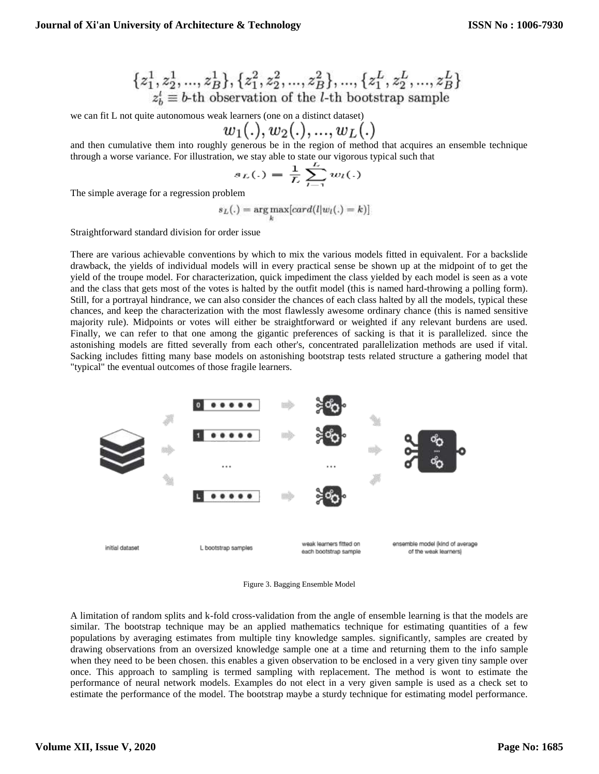$$
\{z_1^1, z_2^1, ..., z_B^1\}, \{z_1^2, z_2^2, ..., z_B^2\}, ..., \{z_1^L, z_2^L, ..., z_B^L\}
$$
  

$$
z_b^i \equiv b
$$
th observation of the *l*-th bootstrap sample

we can fit L not quite autonomous weak learners (one on a distinct dataset)

$$
w_1(.),w_2(.),...,w_L(.)
$$

and then cumulative them into roughly generous be in the region of method that acquires an ensemble technique through a worse variance. For illustration, we stay able to state our vigorous typical such that

$$
s_L(.) = \frac{1}{L} \sum_{l=1}^{L} w_l(.)
$$

The simple average for a regression problem

$$
s_L(.) = \underset{k}{\arg \max}[card(l|w_l(.) = k)]
$$

Straightforward standard division for order issue

There are various achievable conventions by which to mix the various models fitted in equivalent. For a backslide drawback, the yields of individual models will in every practical sense be shown up at the midpoint of to get the yield of the troupe model. For characterization, quick impediment the class yielded by each model is seen as a vote and the class that gets most of the votes is halted by the outfit model (this is named hard-throwing a polling form). Still, for a portrayal hindrance, we can also consider the chances of each class halted by all the models, typical these chances, and keep the characterization with the most flawlessly awesome ordinary chance (this is named sensitive majority rule). Midpoints or votes will either be straightforward or weighted if any relevant burdens are used. Finally, we can refer to that one among the gigantic preferences of sacking is that it is parallelized. since the astonishing models are fitted severally from each other's, concentrated parallelization methods are used if vital. Sacking includes fitting many base models on astonishing bootstrap tests related structure a gathering model that "typical" the eventual outcomes of those fragile learners.



Figure 3. Bagging Ensemble Model

A limitation of random splits and k-fold cross-validation from the angle of ensemble learning is that the models are similar. The bootstrap technique may be an applied mathematics technique for estimating quantities of a few populations by averaging estimates from multiple tiny knowledge samples. significantly, samples are created by drawing observations from an oversized knowledge sample one at a time and returning them to the info sample when they need to be been chosen. this enables a given observation to be enclosed in a very given tiny sample over once. This approach to sampling is termed sampling with replacement. The method is wont to estimate the performance of neural network models. Examples do not elect in a very given sample is used as a check set to estimate the performance of the model. The bootstrap maybe a sturdy technique for estimating model performance.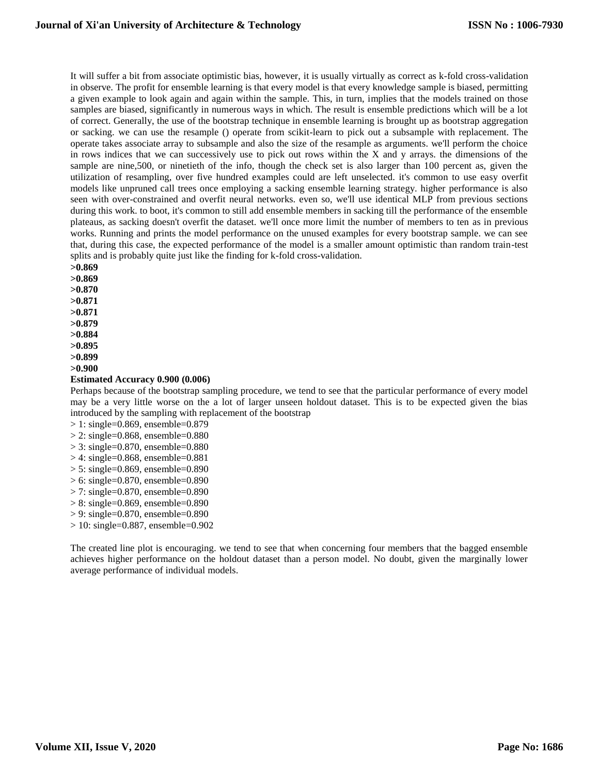It will suffer a bit from associate optimistic bias, however, it is usually virtually as correct as k-fold cross-validation in observe. The profit for ensemble learning is that every model is that every knowledge sample is biased, permitting a given example to look again and again within the sample. This, in turn, implies that the models trained on those samples are biased, significantly in numerous ways in which. The result is ensemble predictions which will be a lot of correct. Generally, the use of the bootstrap technique in ensemble learning is brought up as bootstrap aggregation or sacking. we can use the resample () operate from scikit-learn to pick out a subsample with replacement. The operate takes associate array to subsample and also the size of the resample as arguments. we'll perform the choice in rows indices that we can successively use to pick out rows within the X and y arrays. the dimensions of the sample are nine,500, or ninetieth of the info, though the check set is also larger than 100 percent as, given the utilization of resampling, over five hundred examples could are left unselected. it's common to use easy overfit models like unpruned call trees once employing a sacking ensemble learning strategy. higher performance is also seen with over-constrained and overfit neural networks. even so, we'll use identical MLP from previous sections during this work. to boot, it's common to still add ensemble members in sacking till the performance of the ensemble plateaus, as sacking doesn't overfit the dataset. we'll once more limit the number of members to ten as in previous works. Running and prints the model performance on the unused examples for every bootstrap sample. we can see that, during this case, the expected performance of the model is a smaller amount optimistic than random train-test splits and is probably quite just like the finding for k-fold cross-validation.

**>0.869 >0.869 >0.870 >0.871 >0.871 >0.879 >0.884 >0.895 >0.899 >0.900**

#### **Estimated Accuracy 0.900 (0.006)**

Perhaps because of the bootstrap sampling procedure, we tend to see that the particular performance of every model may be a very little worse on the a lot of larger unseen holdout dataset. This is to be expected given the bias introduced by the sampling with replacement of the bootstrap

```
> 1: single=0.869, ensemble=0.879
> 2: single=0.868, ensemble=0.880
> 3: single=0.870, ensemble=0.880
> 4: single=0.868, ensemble=0.881
> 5: single=0.869, ensemble=0.890
> 6: single=0.870, ensemble=0.890
> 7: single=0.870, ensemble=0.890
> 8: single=0.869, ensemble=0.890
> 9: single=0.870, ensemble=0.890
> 10: single=0.887, ensemble=0.902
```
The created line plot is encouraging. we tend to see that when concerning four members that the bagged ensemble achieves higher performance on the holdout dataset than a person model. No doubt, given the marginally lower average performance of individual models.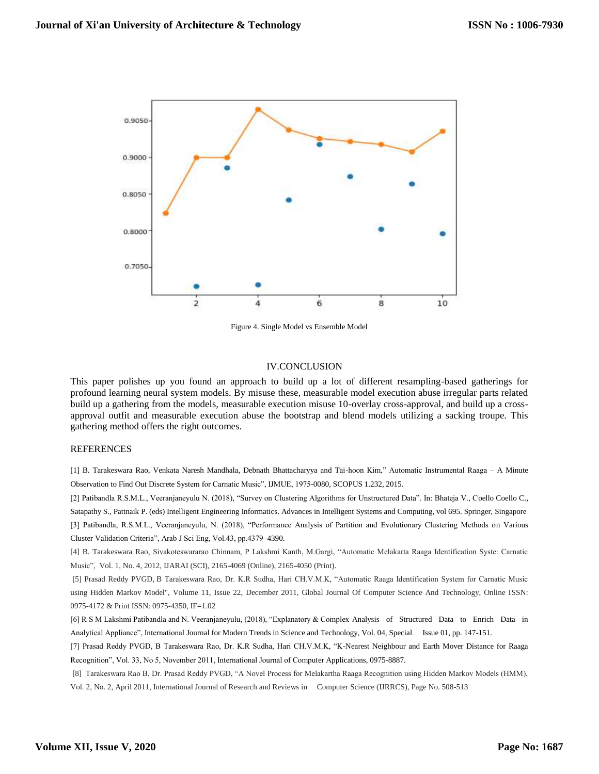

Figure 4. Single Model vs Ensemble Model

# IV.CONCLUSION

This paper polishes up you found an approach to build up a lot of different resampling-based gatherings for profound learning neural system models. By misuse these, measurable model execution abuse irregular parts related build up a gathering from the models, measurable execution misuse 10-overlay cross-approval, and build up a crossapproval outfit and measurable execution abuse the bootstrap and blend models utilizing a sacking troupe. This gathering method offers the right outcomes.

## REFERENCES

[1] B. Tarakeswara Rao, Venkata Naresh Mandhala, Debnath Bhattacharyya and Tai-hoon Kim," Automatic Instrumental Raaga – A Minute Observation to Find Out Discrete System for Carnatic Music", IJMUE, 1975-0080, SCOPUS 1.232, 2015.

[2] Patibandla R.S.M.L., Veeranjaneyulu N. (2018), "Survey on Clustering Algorithms for Unstructured Data". In: Bhateja V., Coello Coello C.,

Satapathy S., Pattnaik P. (eds) Intelligent Engineering Informatics. Advances in Intelligent Systems and Computing, vol 695. Springer, Singapore [3] Patibandla, R.S.M.L., Veeranjaneyulu, N. (2018), "Performance Analysis of Partition and Evolutionary Clustering Methods on Various Cluster Validation Criteria", Arab J Sci Eng, Vol.43, pp.4379–4390.

[4] B. Tarakeswara Rao, Sivakoteswararao Chinnam, P Lakshmi Kanth, M.Gargi, "Automatic Melakarta Raaga Identification Syste: Carnatic Music", Vol. 1, No. 4, 2012, IJARAI (SCI), 2165-4069 (Online), 2165-4050 (Print).

[5] Prasad Reddy PVGD, B Tarakeswara Rao, Dr. K.R Sudha, Hari CH.V.M.K, "Automatic Raaga Identification System for Carnatic Music using Hidden Markov Model", Volume 11, Issue 22, December 2011, Global Journal Of Computer Science And Technology, Online ISSN: 0975-4172 & Print ISSN: 0975-4350, IF**=**1.02

[6] R S M Lakshmi Patibandla and N. Veeranjaneyulu, (2018), "Explanatory & Complex Analysis of Structured Data to Enrich Data in Analytical Appliance", International Journal for Modern Trends in Science and Technology, Vol. 04, Special Issue 01, pp. 147-151.

[7] Prasad Reddy PVGD, B Tarakeswara Rao, Dr. K.R Sudha, Hari CH.V.M.K, "K-Nearest Neighbour and Earth Mover Distance for Raaga Recognition", Vol. 33, No 5, November 2011, International Journal of Computer Applications, 0975-8887.

[8] Tarakeswara Rao B, Dr. Prasad Reddy PVGD, "A Novel Process for Melakartha Raaga Recognition using Hidden Markov Models (HMM), Vol. 2, No. 2, April 2011, International Journal of Research and Reviews in Computer Science (IJRRCS), Page No. 508-513